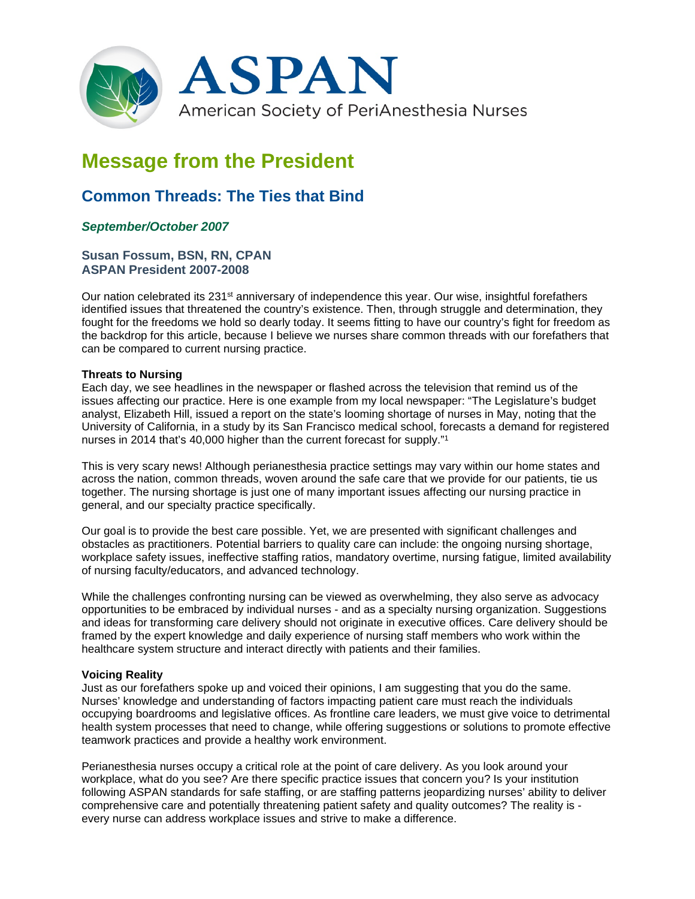

# **Message from the President**

## **Common Threads: The Ties that Bind**

### *September/October 2007*

#### **Susan Fossum, BSN, RN, CPAN ASPAN President 2007-2008**

Our nation celebrated its 231<sup>st</sup> anniversary of independence this year. Our wise, insightful forefathers identified issues that threatened the country's existence. Then, through struggle and determination, they fought for the freedoms we hold so dearly today. It seems fitting to have our country's fight for freedom as the backdrop for this article, because I believe we nurses share common threads with our forefathers that can be compared to current nursing practice.

#### **Threats to Nursing**

Each day, we see headlines in the newspaper or flashed across the television that remind us of the issues affecting our practice. Here is one example from my local newspaper: "The Legislature's budget analyst, Elizabeth Hill, issued a report on the state's looming shortage of nurses in May, noting that the University of California, in a study by its San Francisco medical school, forecasts a demand for registered nurses in 2014 that's 40,000 higher than the current forecast for supply."1

This is very scary news! Although perianesthesia practice settings may vary within our home states and across the nation, common threads, woven around the safe care that we provide for our patients, tie us together. The nursing shortage is just one of many important issues affecting our nursing practice in general, and our specialty practice specifically.

Our goal is to provide the best care possible. Yet, we are presented with significant challenges and obstacles as practitioners. Potential barriers to quality care can include: the ongoing nursing shortage, workplace safety issues, ineffective staffing ratios, mandatory overtime, nursing fatigue, limited availability of nursing faculty/educators, and advanced technology.

While the challenges confronting nursing can be viewed as overwhelming, they also serve as advocacy opportunities to be embraced by individual nurses - and as a specialty nursing organization. Suggestions and ideas for transforming care delivery should not originate in executive offices. Care delivery should be framed by the expert knowledge and daily experience of nursing staff members who work within the healthcare system structure and interact directly with patients and their families.

#### **Voicing Reality**

Just as our forefathers spoke up and voiced their opinions, I am suggesting that you do the same. Nurses' knowledge and understanding of factors impacting patient care must reach the individuals occupying boardrooms and legislative offices. As frontline care leaders, we must give voice to detrimental health system processes that need to change, while offering suggestions or solutions to promote effective teamwork practices and provide a healthy work environment.

Perianesthesia nurses occupy a critical role at the point of care delivery. As you look around your workplace, what do you see? Are there specific practice issues that concern you? Is your institution following ASPAN standards for safe staffing, or are staffing patterns jeopardizing nurses' ability to deliver comprehensive care and potentially threatening patient safety and quality outcomes? The reality is every nurse can address workplace issues and strive to make a difference.